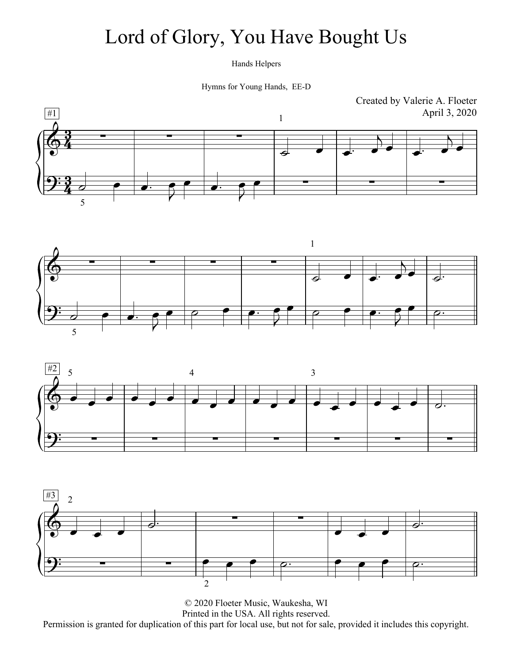### Lord of Glory, You Have Bought Us

Hands Helpers

Hymns for Young Hands, EE-D







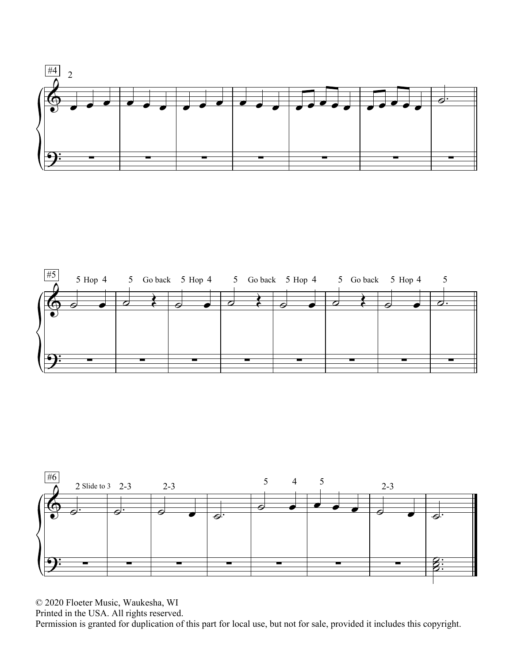



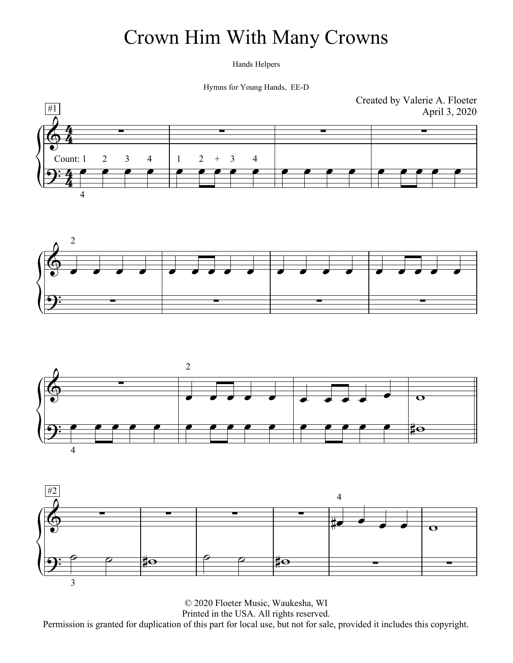# Crown Him With Many Crowns

Hands Helpers

Hymns for Young Hands, EE-D







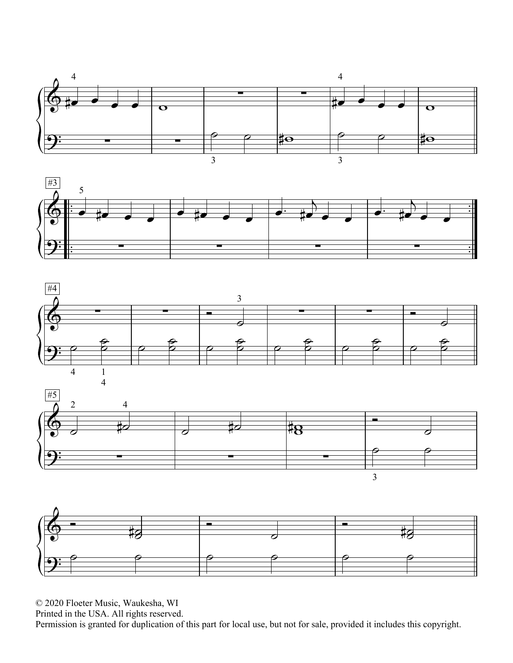







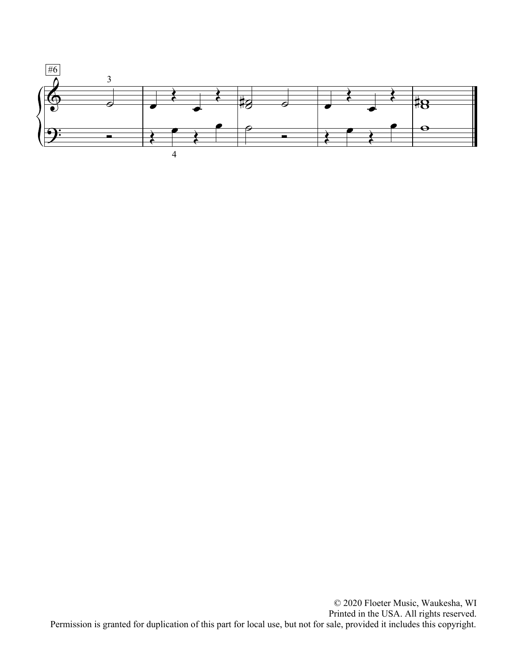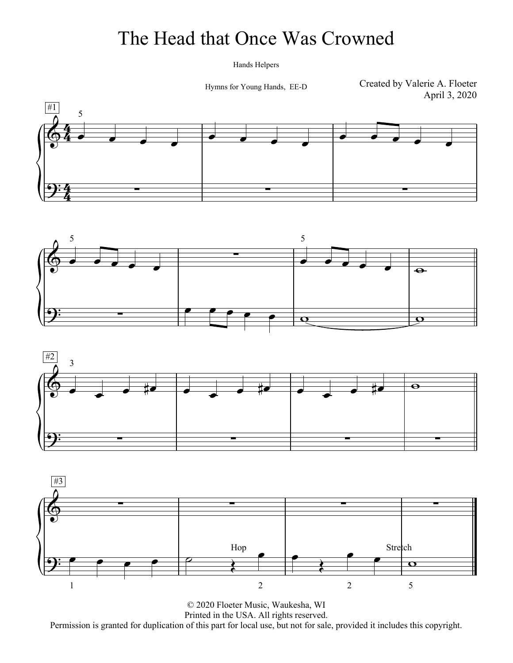#### The Head that Once Was Crowned

Hands Helpers

Hymns for Young Hands, EE-D

Created by Valerie A. Floeter April 3, 2020







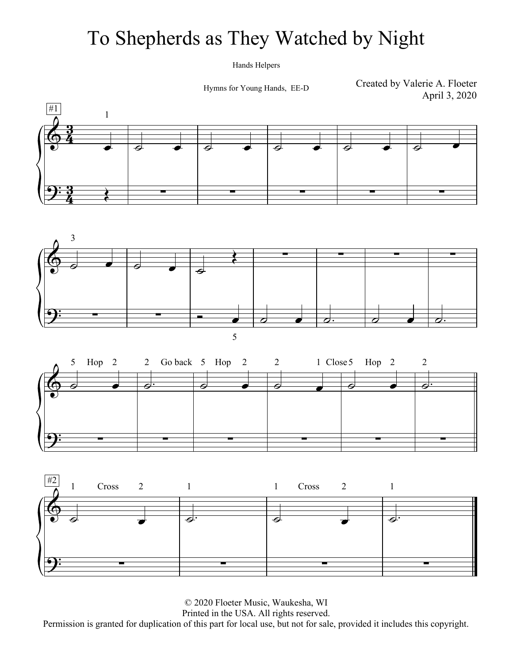### To Shepherds as They Watched by Night

Hands Helpers

Hymns for Young Hands, EE-D

Created by Valerie A. Floeter April 3, 2020







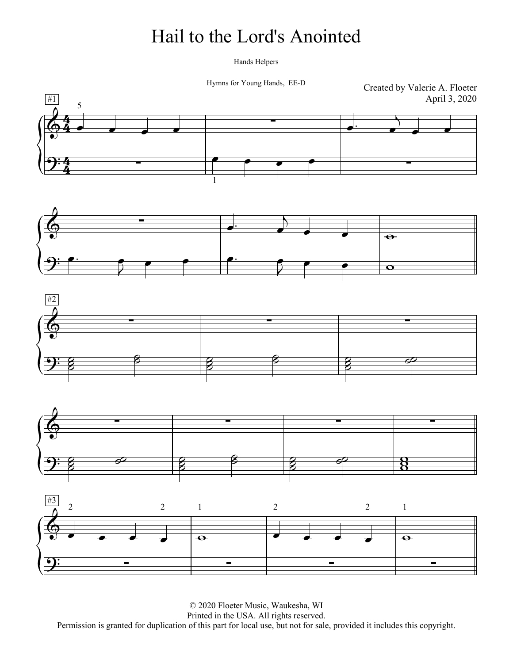#### Hail to the Lord's Anointed

Hands Helpers

Hymns for Young Hands, EE-D

Created by Valerie A. Floeter April 3, 2020









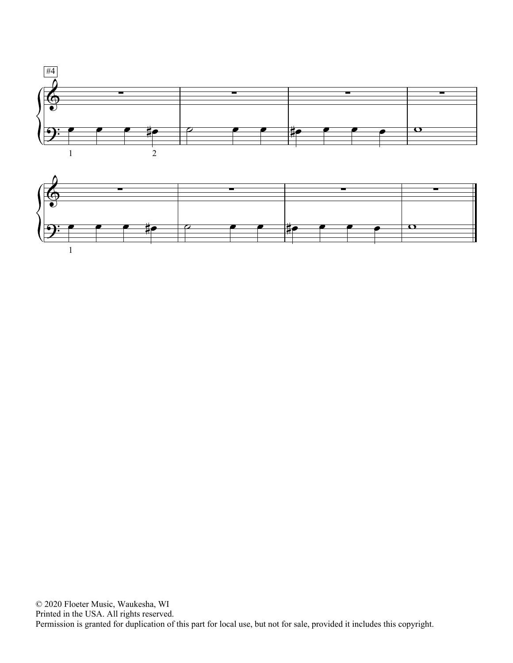

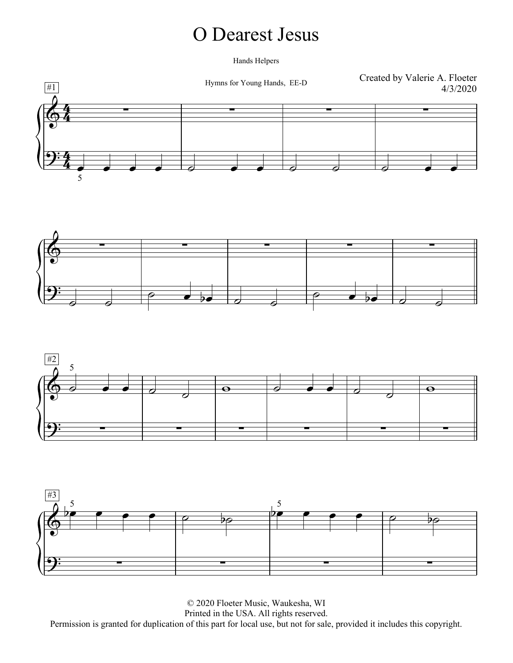#### O Dearest Jesus

Hands Helpers







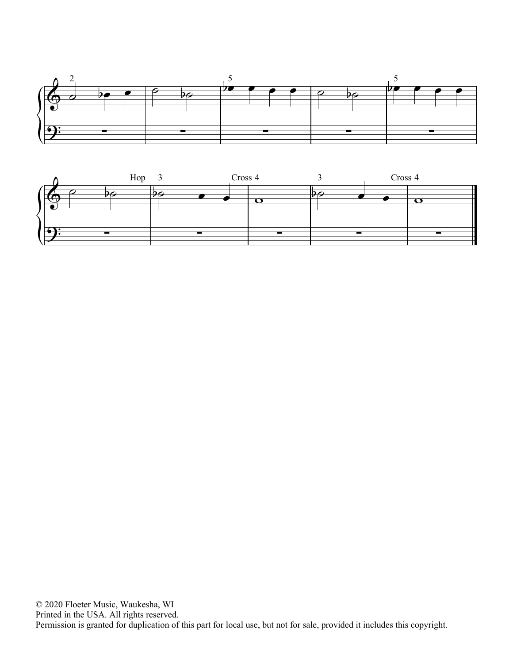

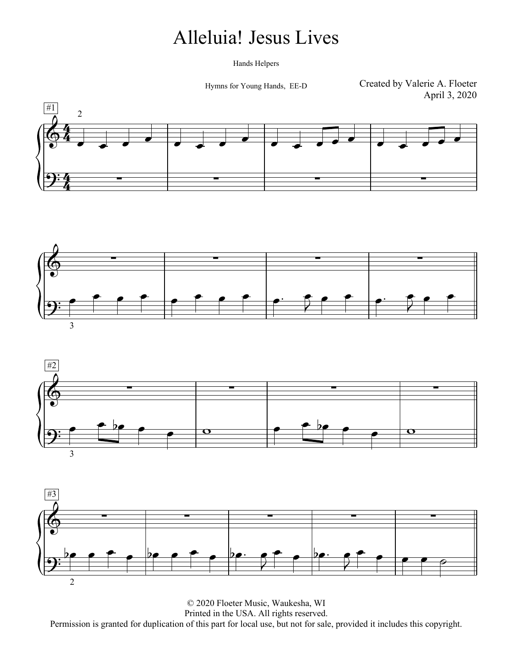### Alleluia! Jesus Lives

Hands Helpers

Hymns for Young Hands, EE-D

Created by Valerie A. Floeter April 3, 2020







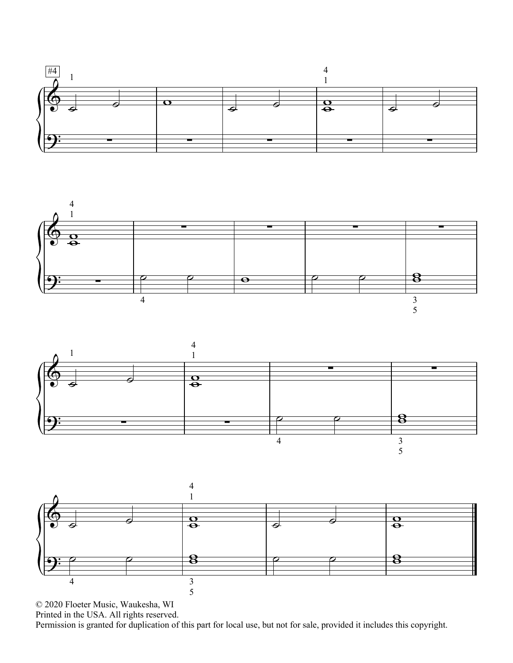





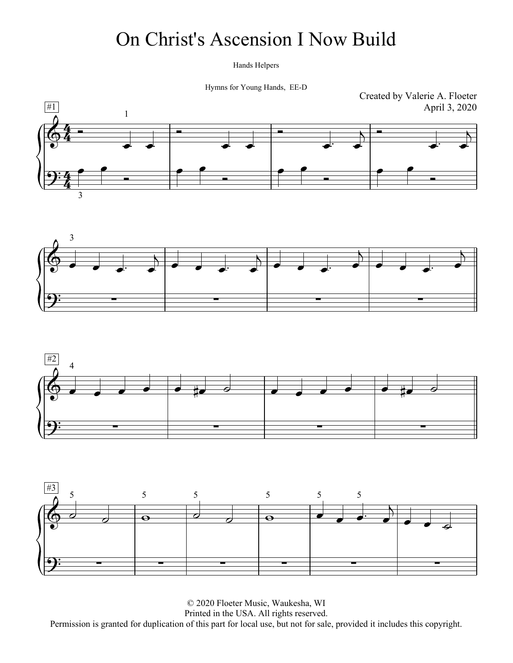### On Christ's Ascension I Now Build

Hands Helpers

Hymns for Young Hands, EE-D







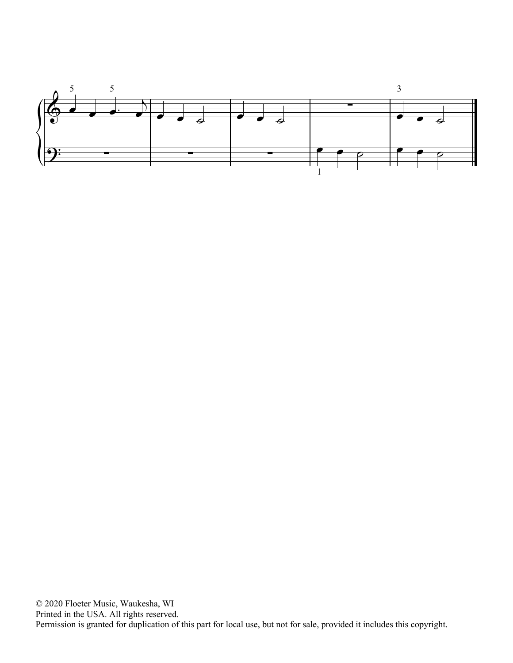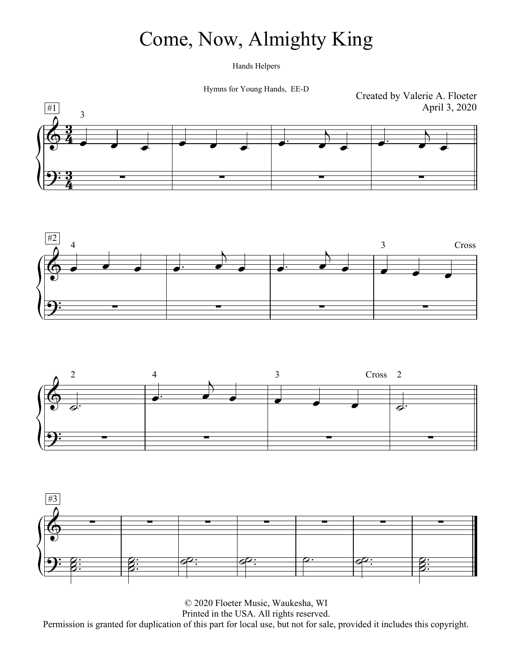## Come, Now, Almighty King

Hands Helpers

Hymns for Young Hands, EE-D







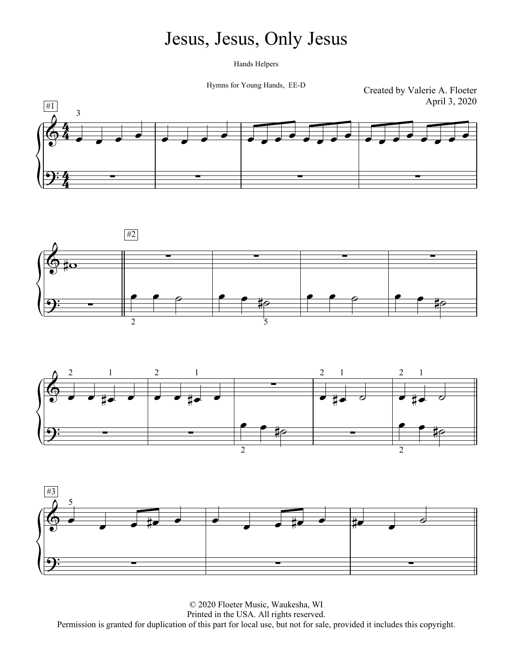#### Jesus, Jesus, Only Jesus

Hands Helpers

Hymns for Young Hands, EE-D

Created by Valerie A. Floeter April 3, 2020







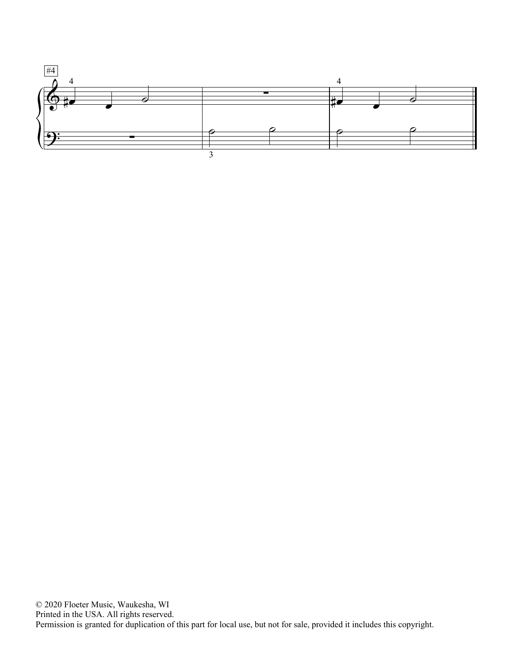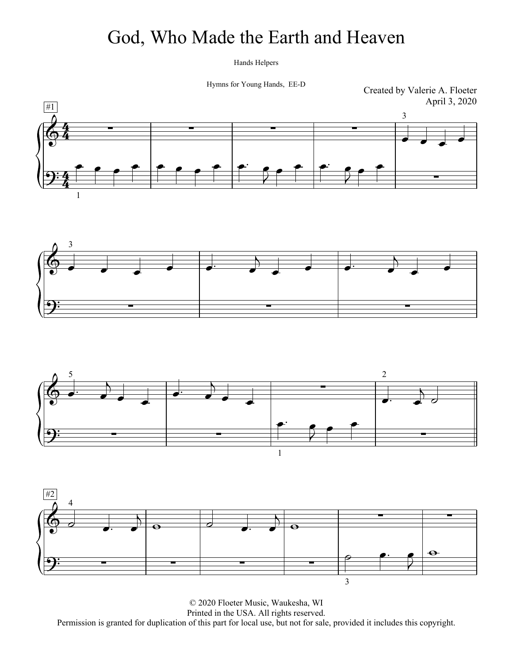#### God, Who Made the Earth and Heaven

Hands Helpers

Hymns for Young Hands, EE-D

Created by Valerie A. Floeter April 3, 2020







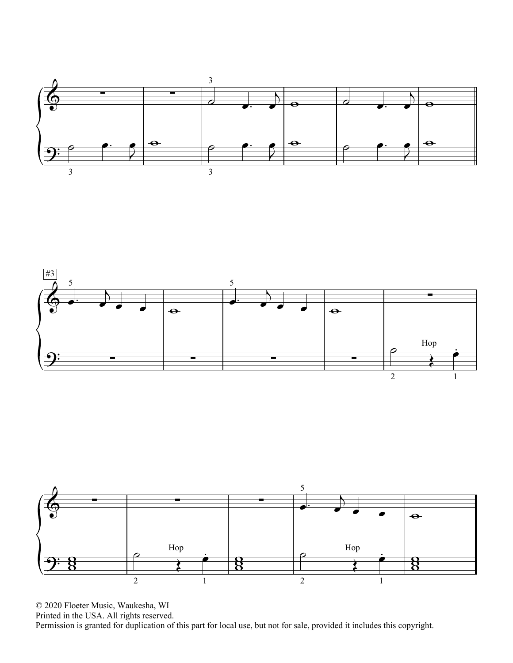



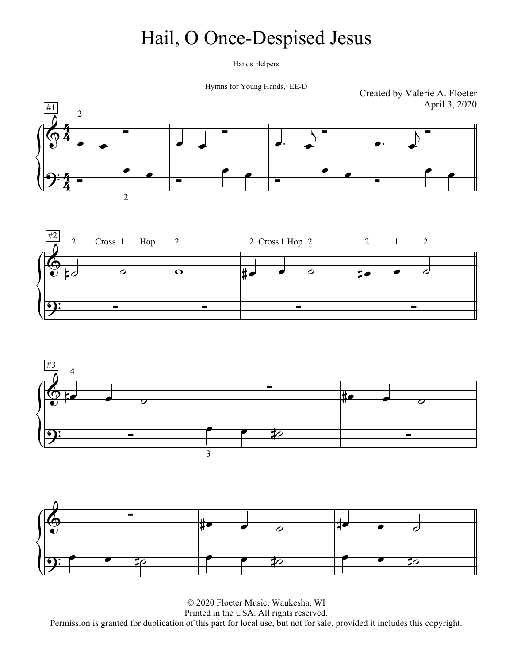### Hail, O Once-Despised Jesus

Hands Helpers

Hymns for Young Hands, EE-D







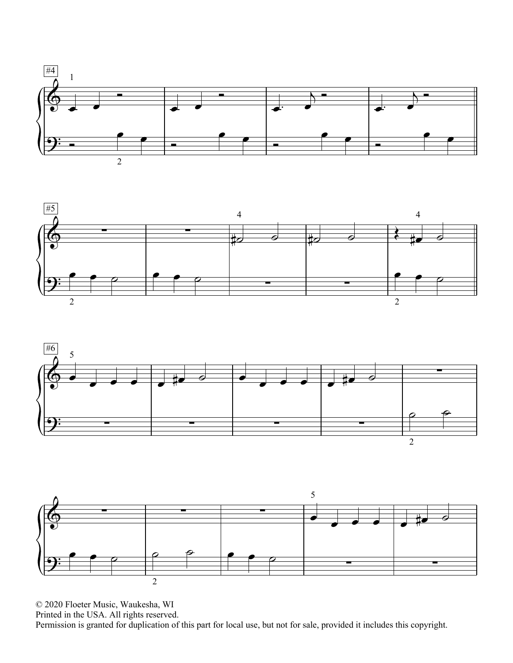